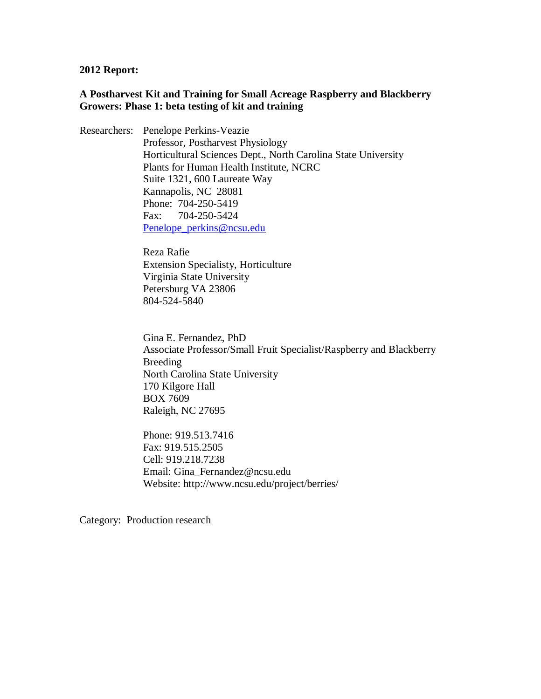#### **2012 Report:**

#### **A Postharvest Kit and Training for Small Acreage Raspberry and Blackberry Growers: Phase 1: beta testing of kit and training**

Researchers: Penelope Perkins-Veazie Professor, Postharvest Physiology Horticultural Sciences Dept., North Carolina State University Plants for Human Health Institute, NCRC Suite 1321, 600 Laureate Way Kannapolis, NC 28081 Phone: 704-250-5419 Fax: 704-250-5424 [Penelope\\_perkins@ncsu.edu](mailto:Penelope_perkins@ncsu.edu)

> Reza Rafie Extension Specialisty, Horticulture Virginia State University Petersburg VA 23806 804-524-5840

Gina E. Fernandez, PhD Associate Professor/Small Fruit Specialist/Raspberry and Blackberry Breeding North Carolina State University 170 Kilgore Hall BOX 7609 Raleigh, NC 27695

Phone: 919.513.7416 Fax: 919.515.2505 Cell: 919.218.7238 Email: Gina\_Fernandez@ncsu.edu Website: http://www.ncsu.edu/project/berries/

Category: Production research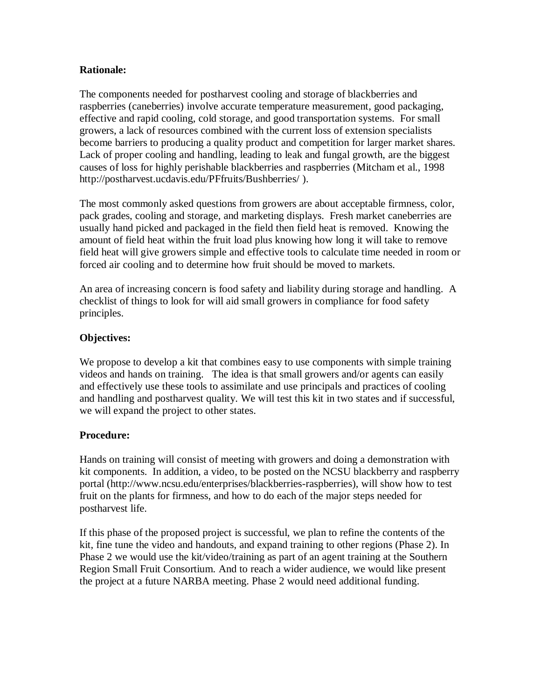## **Rationale:**

The components needed for postharvest cooling and storage of blackberries and raspberries (caneberries) involve accurate temperature measurement, good packaging, effective and rapid cooling, cold storage, and good transportation systems. For small growers, a lack of resources combined with the current loss of extension specialists become barriers to producing a quality product and competition for larger market shares. Lack of proper cooling and handling, leading to leak and fungal growth, are the biggest causes of loss for highly perishable blackberries and raspberries (Mitcham et al., 1998 http://postharvest.ucdavis.edu/PFfruits/Bushberries/ ).

The most commonly asked questions from growers are about acceptable firmness, color, pack grades, cooling and storage, and marketing displays. Fresh market caneberries are usually hand picked and packaged in the field then field heat is removed. Knowing the amount of field heat within the fruit load plus knowing how long it will take to remove field heat will give growers simple and effective tools to calculate time needed in room or forced air cooling and to determine how fruit should be moved to markets.

An area of increasing concern is food safety and liability during storage and handling. A checklist of things to look for will aid small growers in compliance for food safety principles.

# **Objectives:**

We propose to develop a kit that combines easy to use components with simple training videos and hands on training. The idea is that small growers and/or agents can easily and effectively use these tools to assimilate and use principals and practices of cooling and handling and postharvest quality. We will test this kit in two states and if successful, we will expand the project to other states.

# **Procedure:**

Hands on training will consist of meeting with growers and doing a demonstration with kit components. In addition, a video, to be posted on the NCSU blackberry and raspberry portal (http://www.ncsu.edu/enterprises/blackberries-raspberries), will show how to test fruit on the plants for firmness, and how to do each of the major steps needed for postharvest life.

If this phase of the proposed project is successful, we plan to refine the contents of the kit, fine tune the video and handouts, and expand training to other regions (Phase 2). In Phase 2 we would use the kit/video/training as part of an agent training at the Southern Region Small Fruit Consortium. And to reach a wider audience, we would like present the project at a future NARBA meeting. Phase 2 would need additional funding.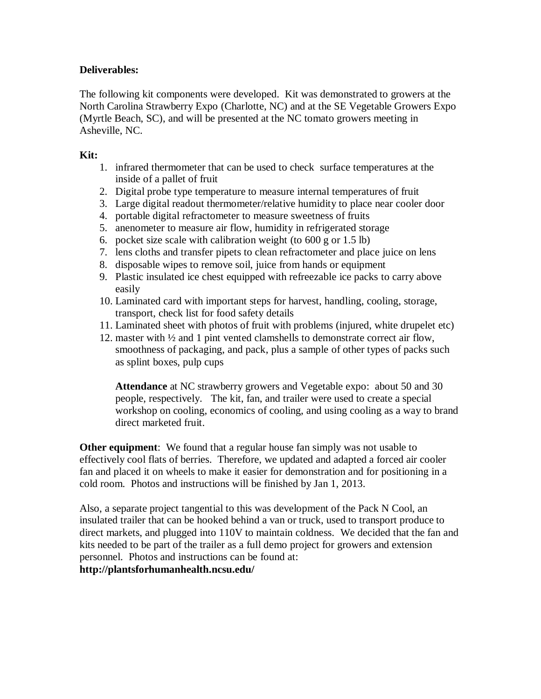# **Deliverables:**

The following kit components were developed. Kit was demonstrated to growers at the North Carolina Strawberry Expo (Charlotte, NC) and at the SE Vegetable Growers Expo (Myrtle Beach, SC), and will be presented at the NC tomato growers meeting in Asheville, NC.

## **Kit:**

- 1. infrared thermometer that can be used to check surface temperatures at the inside of a pallet of fruit
- 2. Digital probe type temperature to measure internal temperatures of fruit
- 3. Large digital readout thermometer/relative humidity to place near cooler door
- 4. portable digital refractometer to measure sweetness of fruits
- 5. anenometer to measure air flow, humidity in refrigerated storage
- 6. pocket size scale with calibration weight (to 600 g or 1.5 lb)
- 7. lens cloths and transfer pipets to clean refractometer and place juice on lens
- 8. disposable wipes to remove soil, juice from hands or equipment
- 9. Plastic insulated ice chest equipped with refreezable ice packs to carry above easily
- 10. Laminated card with important steps for harvest, handling, cooling, storage, transport, check list for food safety details
- 11. Laminated sheet with photos of fruit with problems (injured, white drupelet etc)
- 12. master with ½ and 1 pint vented clamshells to demonstrate correct air flow, smoothness of packaging, and pack, plus a sample of other types of packs such as splint boxes, pulp cups

**Attendance** at NC strawberry growers and Vegetable expo: about 50 and 30 people, respectively. The kit, fan, and trailer were used to create a special workshop on cooling, economics of cooling, and using cooling as a way to brand direct marketed fruit.

**Other equipment**: We found that a regular house fan simply was not usable to effectively cool flats of berries. Therefore, we updated and adapted a forced air cooler fan and placed it on wheels to make it easier for demonstration and for positioning in a cold room. Photos and instructions will be finished by Jan 1, 2013.

Also, a separate project tangential to this was development of the Pack N Cool, an insulated trailer that can be hooked behind a van or truck, used to transport produce to direct markets, and plugged into 110V to maintain coldness. We decided that the fan and kits needed to be part of the trailer as a full demo project for growers and extension personnel. Photos and instructions can be found at: **http://plantsforhumanhealth.ncsu.edu/**